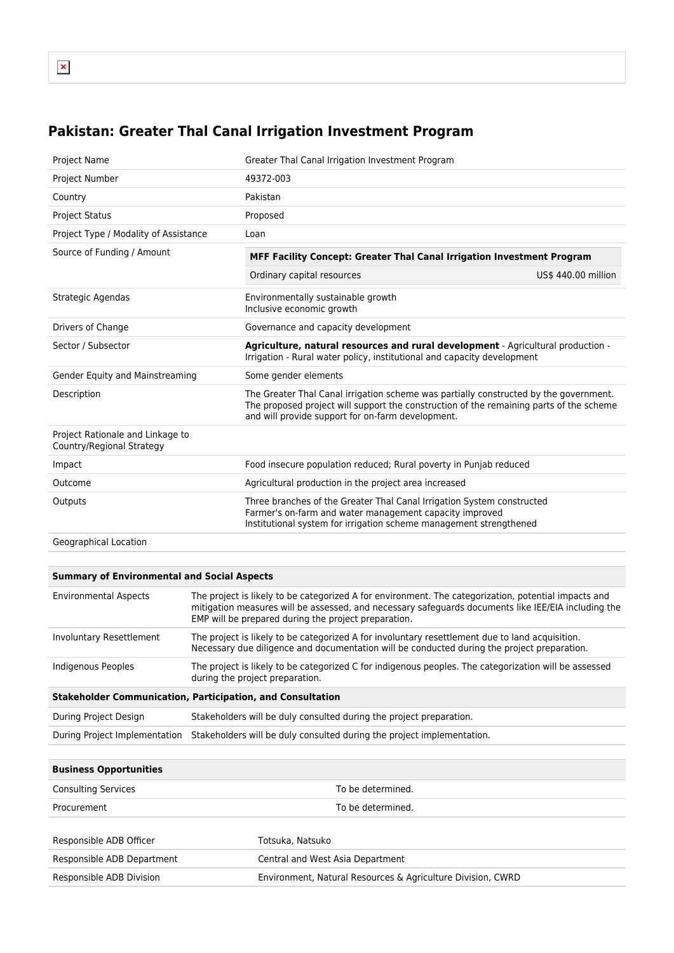## **Pakistan: Greater Thal Canal Irrigation Investment Program**

| <b>Project Name</b>                                           | Greater Thal Canal Irrigation Investment Program                                                                                                                                                                                      |                     |  |
|---------------------------------------------------------------|---------------------------------------------------------------------------------------------------------------------------------------------------------------------------------------------------------------------------------------|---------------------|--|
| Project Number                                                | 49372-003                                                                                                                                                                                                                             |                     |  |
| Country                                                       | Pakistan                                                                                                                                                                                                                              |                     |  |
| <b>Project Status</b>                                         | Proposed                                                                                                                                                                                                                              |                     |  |
| Project Type / Modality of Assistance                         | Loan                                                                                                                                                                                                                                  |                     |  |
| Source of Funding / Amount                                    | MFF Facility Concept: Greater Thal Canal Irrigation Investment Program                                                                                                                                                                |                     |  |
|                                                               | Ordinary capital resources                                                                                                                                                                                                            | US\$ 440.00 million |  |
| Strategic Agendas                                             | Environmentally sustainable growth<br>Inclusive economic growth                                                                                                                                                                       |                     |  |
| Drivers of Change                                             | Governance and capacity development                                                                                                                                                                                                   |                     |  |
| Sector / Subsector                                            | Agriculture, natural resources and rural development - Agricultural production -<br>Irrigation - Rural water policy, institutional and capacity development                                                                           |                     |  |
| Gender Equity and Mainstreaming                               | Some gender elements                                                                                                                                                                                                                  |                     |  |
| Description                                                   | The Greater Thal Canal irrigation scheme was partially constructed by the government.<br>The proposed project will support the construction of the remaining parts of the scheme<br>and will provide support for on-farm development. |                     |  |
| Project Rationale and Linkage to<br>Country/Regional Strategy |                                                                                                                                                                                                                                       |                     |  |
| Impact                                                        | Food insecure population reduced; Rural poverty in Punjab reduced                                                                                                                                                                     |                     |  |
| Outcome                                                       | Agricultural production in the project area increased                                                                                                                                                                                 |                     |  |
| Outputs                                                       | Three branches of the Greater Thal Canal Irrigation System constructed<br>Farmer's on-farm and water management capacity improved<br>Institutional system for irrigation scheme management strengthened                               |                     |  |
| Geographical Location                                         |                                                                                                                                                                                                                                       |                     |  |

## **Summary of Environmental and Social Aspects**

| <b>Environmental Aspects</b>                                      | The project is likely to be categorized A for environment. The categorization, potential impacts and<br>mitigation measures will be assessed, and necessary safeguards documents like IEE/EIA including the<br>EMP will be prepared during the project preparation. |  |
|-------------------------------------------------------------------|---------------------------------------------------------------------------------------------------------------------------------------------------------------------------------------------------------------------------------------------------------------------|--|
| Involuntary Resettlement                                          | The project is likely to be categorized A for involuntary resettlement due to land acquisition.<br>Necessary due diligence and documentation will be conducted during the project preparation.                                                                      |  |
| Indigenous Peoples                                                | The project is likely to be categorized C for indigenous peoples. The categorization will be assessed<br>during the project preparation.                                                                                                                            |  |
| <b>Stakeholder Communication, Participation, and Consultation</b> |                                                                                                                                                                                                                                                                     |  |
| During Project Design                                             | Stakeholders will be duly consulted during the project preparation.                                                                                                                                                                                                 |  |
| During Project Implementation                                     | Stakeholders will be duly consulted during the project implementation.                                                                                                                                                                                              |  |

| <b>Business Opportunities</b> |                                                             |  |
|-------------------------------|-------------------------------------------------------------|--|
| <b>Consulting Services</b>    | To be determined.                                           |  |
| Procurement                   | To be determined.                                           |  |
| Responsible ADB Officer       | Totsuka, Natsuko                                            |  |
| Responsible ADB Department    | Central and West Asia Department                            |  |
| Responsible ADB Division      | Environment, Natural Resources & Agriculture Division, CWRD |  |